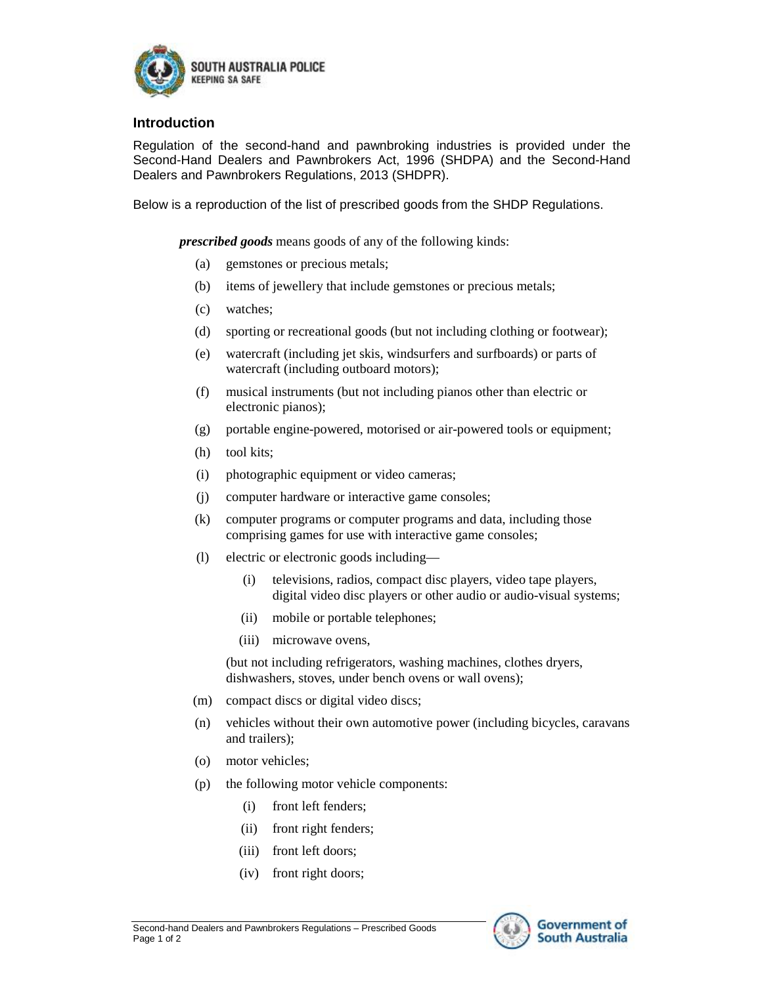

## **Introduction**

Regulation of the second-hand and pawnbroking industries is provided under the Second-Hand Dealers and Pawnbrokers Act, 1996 (SHDPA) and the Second-Hand Dealers and Pawnbrokers Regulations, 2013 (SHDPR).

Below is a reproduction of the list of prescribed goods from the SHDP Regulations.

*prescribed goods* means goods of any of the following kinds:

- (a) gemstones or precious metals;
- (b) items of jewellery that include gemstones or precious metals;
- (c) watches;
- (d) sporting or recreational goods (but not including clothing or footwear);
- (e) watercraft (including jet skis, windsurfers and surfboards) or parts of watercraft (including outboard motors);
- (f) musical instruments (but not including pianos other than electric or electronic pianos);
- (g) portable engine-powered, motorised or air-powered tools or equipment;
- (h) tool kits;
- (i) photographic equipment or video cameras;
- (j) computer hardware or interactive game consoles;
- (k) computer programs or computer programs and data, including those comprising games for use with interactive game consoles;
- (l) electric or electronic goods including—
	- (i) televisions, radios, compact disc players, video tape players, digital video disc players or other audio or audio-visual systems;
	- (ii) mobile or portable telephones;
	- (iii) microwave ovens,

(but not including refrigerators, washing machines, clothes dryers, dishwashers, stoves, under bench ovens or wall ovens);

- (m) compact discs or digital video discs;
- (n) vehicles without their own automotive power (including bicycles, caravans and trailers);
- (o) motor vehicles;
- (p) the following motor vehicle components:
	- (i) front left fenders;
	- (ii) front right fenders;
	- (iii) front left doors;
	- (iv) front right doors;